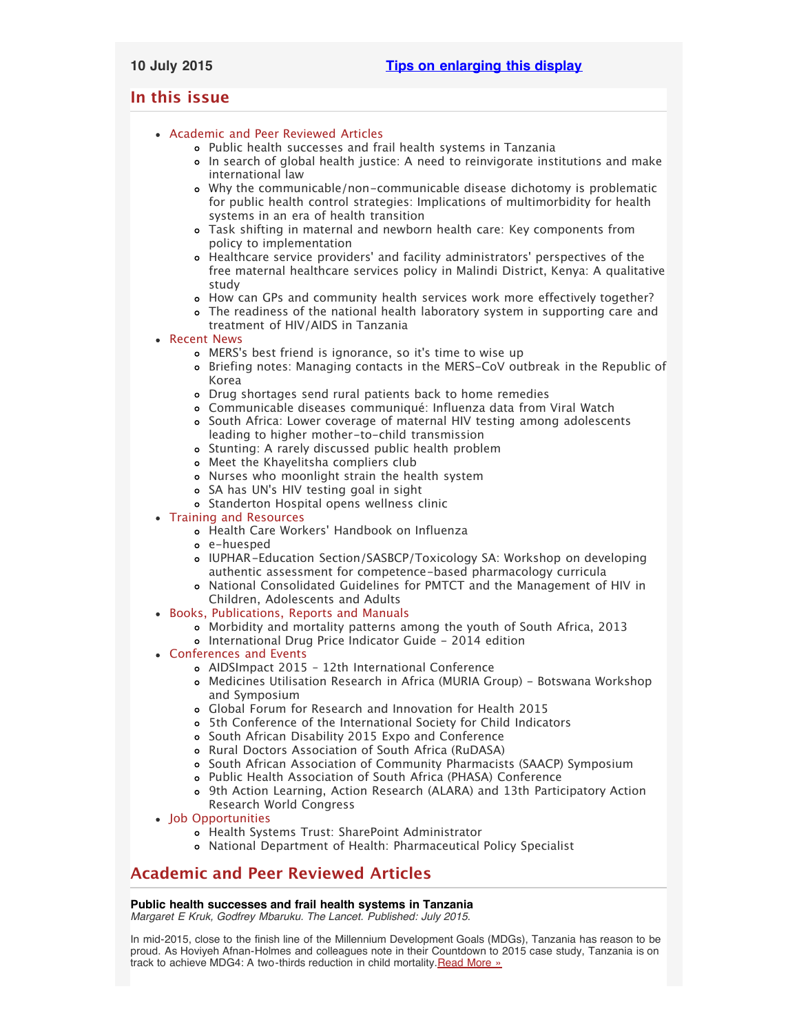# <span id="page-0-2"></span>**In this issue**

- [Academic and Peer Reviewed Articles](#page-0-0)
	- [Public health successes and frail health systems in Tanzania](#page-0-1)
	- [In search of global health justice: A need to reinvigorate institutions and make](#page-1-0) [international law](#page-1-0)
	- [Why the communicable/non-communicable disease dichotomy is problematic](#page-1-1) [for public health control strategies: Implications of multimorbidity for health](#page-1-1) [systems in an era of health transition](#page-1-1)
	- [Task shifting in maternal and newborn health care: Key components from](#page-1-2) [policy to implementation](#page-1-2)
	- Healthcare service providers[' and facility administrators' perspectives of the](#page-1-3) [free maternal healthcare services policy in Malindi District, Kenya: A qualitative](#page-1-3) [study](#page-1-3)
	- o [How can GPs and community health services work more effectively together?](#page-1-4)
	- [The readiness of the national health laboratory system in supporting care and](#page-1-5) [treatment of HIV/AIDS in Tanzania](#page-1-5)

# • [Recent News](#page-1-6)

- MERS['s best friend is ignorance, so it's time to wise up](#page-2-0)
- [Briefing notes: Managing contacts in the MERS-CoV outbreak in the Republic of](#page-2-1) [Korea](#page-2-1)
- [Drug shortages send rural patients back to home remedies](#page-2-2)
- [Communicable diseases communiqué: Influenza data from Viral Watch](#page-2-3) [South Africa: Lower coverage of maternal HIV testing among adolescents](#page-2-4)
- [leading to higher mother-to-child transmission](#page-2-4)
- o [Stunting: A rarely discussed public health problem](#page-2-5)
- [Meet the Khayelitsha compliers club](#page-2-6)
- [Nurses who moonlight strain the health system](#page-3-0)
- SA has UN['s HIV testing goal in sight](#page-3-1)
- [Standerton Hospital opens wellness clinic](#page-3-2)
- [Training and Resources](#page-3-3)
	- Health Care Workers[' Handbook on Influenza](#page-3-4)
	- [e-huesped](#page-3-5)
	- [IUPHAR-Education Section/SASBCP/Toxicology SA: Workshop on developing](#page-3-6) [authentic assessment for competence-based pharmacology curricula](#page-3-6)
	- [National Consolidated Guidelines for PMTCT and the Management of HIV in](#page-3-7) [Children, Adolescents and Adults](#page-3-7)
- [Books, Publications, Reports and Manuals](#page-3-8)
	- [Morbidity and mortality patterns among the youth of South Africa, 2013](#page-3-9) o [International Drug Price Indicator Guide - 2014 edition](#page-4-0)
- [Conferences and Events](#page-4-1)
	- [AIDSImpact 2015 12th International Conference](#page-4-2)
	- [Medicines Utilisation Research in Africa \(MURIA Group\) Botswana Workshop](#page-4-3) [and Symposium](#page-4-3)
	- [Global Forum for Research and Innovation for Health 2015](#page-4-4)
	- [5th Conference of the International Society for Child Indicators](#page-4-5)
	- [South African Disability 2015 Expo and Conference](#page-4-6)
	- [Rural Doctors Association of South Africa \(RuDASA\)](#page-4-7)
	- o [South African Association of Community Pharmacists \(SAACP\) Symposium](#page-5-0)
	- [Public Health Association of South Africa \(PHASA\) Conference](#page-5-1)
	- [9th Action Learning, Action Research \(ALARA\) and 13th Participatory Action](#page-5-2) [Research World Congress](#page-5-2)
- [Job Opportunities](#page-5-3)
	- [Health Systems Trust: SharePoint Administrator](#page-5-4)
	- [National Department of Health: Pharmaceutical Policy Specialist](#page-5-5)

# <span id="page-0-0"></span>**Academic and Peer Reviewed Articles**

# <span id="page-0-1"></span>**Public health successes and frail health systems in Tanzania**

*Margaret E Kruk, Godfrey Mbaruku. The Lancet. Published: July 2015.*

In mid-2015, close to the finish line of the Millennium Development Goals (MDGs), Tanzania has reason to be proud. As Hoviyeh Afnan-Holmes and colleagues note in their Countdown to 2015 case study, Tanzania is on track to achieve MDG4: A two-thirds reduction in child mortality. [Read More »](http://www.thelancet.com/journals/langlo/article/PIIS2214-109X%2815%2900036-4/abstract)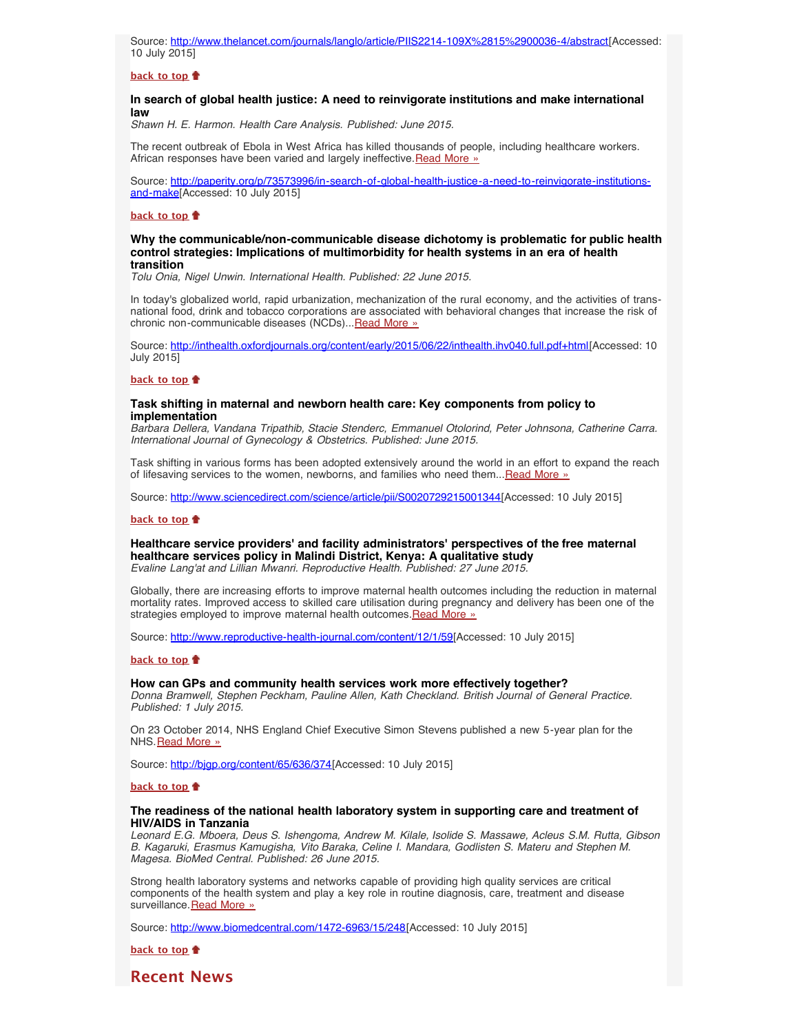Source: [http://www.thelancet.com/journals/langlo/article/PIIS2214-109X%2815%2900036-4/abstract\[](http://www.thelancet.com/journals/langlo/article/PIIS2214-109X%2815%2900036-4/abstract)Accessed: 10 July 2015]

#### **[back to top](#page-0-2)**

# <span id="page-1-0"></span>**In search of global health justice: A need to reinvigorate institutions and make international law**

*Shawn H. E. Harmon. Health Care Analysis. Published: June 2015.*

The recent outbreak of Ebola in West Africa has killed thousands of people, including healthcare workers. African responses have been varied and largely ineffective. [Read More »](http://paperity.org/p/73573996/in-search-of-global-health-justice-a-need-to-reinvigorate-institutions-and-make)

Source: [http://paperity.org/p/73573996/in-search-of-global-health-justice-a-need-to-reinvigorate-institutions](http://paperity.org/p/73573996/in-search-of-global-health-justice-a-need-to-reinvigorate-institutions-and-make)[and-make\[](http://paperity.org/p/73573996/in-search-of-global-health-justice-a-need-to-reinvigorate-institutions-and-make)Accessed: 10 July 2015]

#### **[back to top](#page-0-2)**

### <span id="page-1-1"></span>**Why the communicable/non-communicable disease dichotomy is problematic for public health control strategies: Implications of multimorbidity for health systems in an era of health transition**

*Tolu Onia, Nigel Unwin. International Health. Published: 22 June 2015.*

In today's globalized world, rapid urbanization, mechanization of the rural economy, and the activities of transnational food, drink and tobacco corporations are associated with behavioral changes that increase the risk of chronic non-communicable diseases (NCDs)... [Read More »](http://inthealth.oxfordjournals.org/content/early/2015/06/22/inthealth.ihv040.full.pdf+html)

Source: [http://inthealth.oxfordjournals.org/content/early/2015/06/22/inthealth.ihv040.full.pdf+html\[](http://inthealth.oxfordjournals.org/content/early/2015/06/22/inthealth.ihv040.full.pdf+html)Accessed: 10 July 2015]

#### **[back to top](#page-0-2)**

## <span id="page-1-2"></span>**Task shifting in maternal and newborn health care: Key components from policy to implementation**

*Barbara Dellera, Vandana Tripathib, Stacie Stenderc, Emmanuel Otolorind, Peter Johnsona, Catherine Carra. International Journal of Gynecology & Obstetrics. Published: June 2015.*

Task shifting in various forms has been adopted extensively around the world in an effort to expand the reach of lifesaving services to the women, newborns, and families who need them... [Read More »](http://www.sciencedirect.com/science/article/pii/S0020729215001344)

Source: [http://www.sciencedirect.com/science/article/pii/S0020729215001344\[](http://www.sciencedirect.com/science/article/pii/S0020729215001344)Accessed: 10 July 2015]

#### **[back to top](#page-0-2)**

<span id="page-1-3"></span>**Healthcare service providers' and facility administrators' perspectives of the free maternal healthcare services policy in Malindi District, Kenya: A qualitative study** *Evaline Lang'at and Lillian Mwanri. Reproductive Health. Published: 27 June 2015.*

Globally, there are increasing efforts to improve maternal health outcomes including the reduction in maternal mortality rates. Improved access to skilled care utilisation during pregnancy and delivery has been one of the strategies employed to improve maternal health outcomes. [Read More »](http://www.reproductive-health-journal.com/content/12/1/59)

Source: [http://www.reproductive-health-journal.com/content/12/1/59\[](http://www.reproductive-health-journal.com/content/12/1/59)Accessed: 10 July 2015]

#### **[back to top](#page-0-2)**

# <span id="page-1-4"></span>**How can GPs and community health services work more effectively together?**

*Donna Bramwell, Stephen Peckham, Pauline Allen, Kath Checkland. British Journal of General Practice. Published: 1 July 2015.*

On 23 October 2014, NHS England Chief Executive Simon Stevens published a new 5-year plan for the NHS. [Read More »](http://bjgp.org/content/65/636/374)

Source: http://bjqp.org/content/65/636/374[Accessed: 10 July 2015]

#### **[back to top](#page-0-2)**

# <span id="page-1-5"></span>**The readiness of the national health laboratory system in supporting care and treatment of HIV/AIDS in Tanzania**

*Leonard E.G. Mboera, Deus S. Ishengoma, Andrew M. Kilale, Isolide S. Massawe, Acleus S.M. Rutta, Gibson B. Kagaruki, Erasmus Kamugisha, Vito Baraka, Celine I. Mandara, Godlisten S. Materu and Stephen M. Magesa. BioMed Central. Published: 26 June 2015.*

Strong health laboratory systems and networks capable of providing high quality services are critical components of the health system and play a key role in routine diagnosis, care, treatment and disease surveillance. [Read More »](http://www.biomedcentral.com/1472-6963/15/248)

Source: [http://www.biomedcentral.com/1472-6963/15/248\[](http://www.biomedcentral.com/1472-6963/15/248)Accessed: 10 July 2015]

**[back to top](#page-0-2)**

<span id="page-1-6"></span>**Recent News**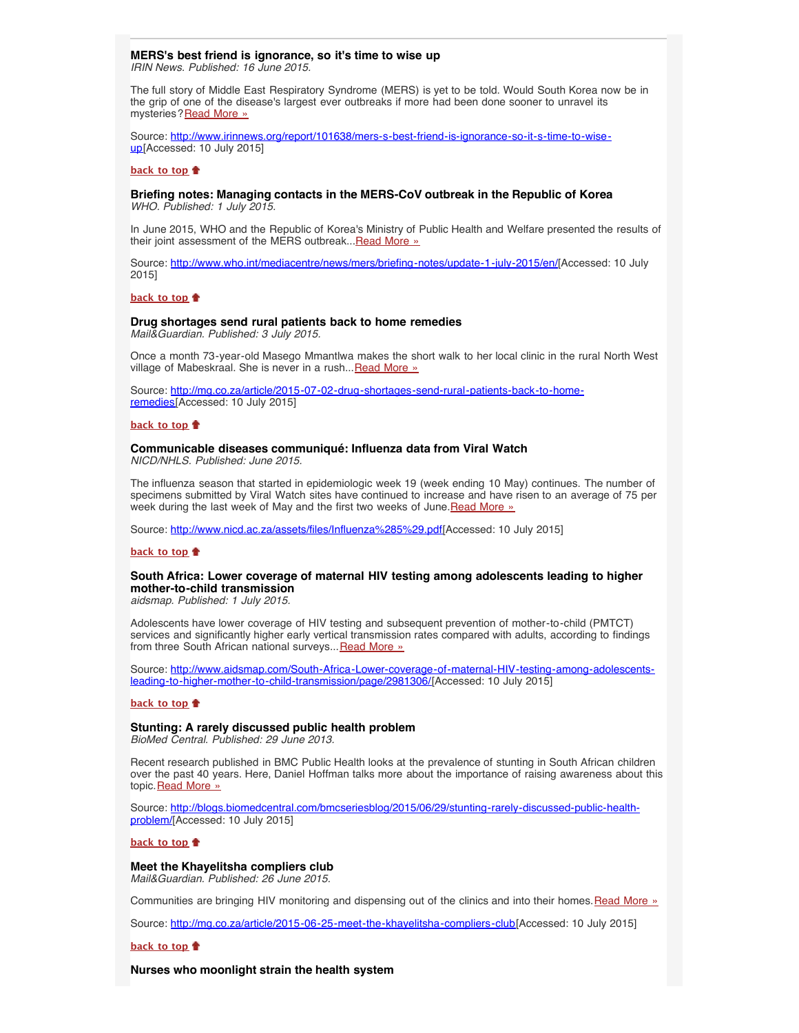## <span id="page-2-0"></span>**MERS's best friend is ignorance, so it's time to wise up** *IRIN News. Published: 16 June 2015.*

The full story of Middle East Respiratory Syndrome (MERS) is yet to be told. Would South Korea now be in the grip of one of the disease's largest ever outbreaks if more had been done sooner to unravel its mysteries? [Read More »](http://www.hst.org.za/news/mers-s-best-friend-ignorance-so-it-s-time-wise)

Source: [http://www.irinnews.org/report/101638/mers-s-best-friend-is-ignorance-so-it-s-time-to-wise](http://www.irinnews.org/report/101638/mers-s-best-friend-is-ignorance-so-it-s-time-to-wise-up)[up\[](http://www.irinnews.org/report/101638/mers-s-best-friend-is-ignorance-so-it-s-time-to-wise-up)Accessed: 10 July 2015]

#### **[back to top](#page-0-2)**

## <span id="page-2-1"></span>**Briefing notes: Managing contacts in the MERS-CoV outbreak in the Republic of Korea** *WHO. Published: 1 July 2015.*

In June 2015, WHO and the Republic of Korea's Ministry of Public Health and Welfare presented the results of their joint assessment of the MERS outbreak... [Read More »](http://www.hst.org.za/news/managing-contacts-mers-cov-outbreak-republic-korea)

Source: [http://www.who.int/mediacentre/news/mers/briefing-notes/update-1-july-2015/en/\[](http://www.who.int/mediacentre/news/mers/briefing-notes/update-1-july-2015/en/)Accessed: 10 July 2015]

#### **[back to top](#page-0-2)**

# <span id="page-2-2"></span>**Drug shortages send rural patients back to home remedies**

*Mail&Guardian. Published: 3 July 2015.*

Once a month 73-year-old Masego Mmantlwa makes the short walk to her local clinic in the rural North West village of Mabeskraal. She is never in a rush... [Read More »](http://mg.co.za/article/2015-07-02-drug-shortages-send-rural-patients-back-to-home-remedies)

Source: [http://mg.co.za/article/2015-07-02-drug-shortages-send-rural-patients-back-to-home](http://mg.co.za/article/2015-07-02-drug-shortages-send-rural-patients-back-to-home-remedies)[remedies\[](http://mg.co.za/article/2015-07-02-drug-shortages-send-rural-patients-back-to-home-remedies)Accessed: 10 July 2015]

#### **[back to top](#page-0-2)**

# <span id="page-2-3"></span>**Communicable diseases communiqué: Influenza data from Viral Watch**

*NICD/NHLS. Published: June 2015.*

The influenza season that started in epidemiologic week 19 (week ending 10 May) continues. The number of specimens submitted by Viral Watch sites have continued to increase and have risen to an average of 75 per week during the last week of May and the first two weeks of June. Read More »

Source: [http://www.nicd.ac.za/assets/files/Influenza%285%29.pdf\[](http://www.nicd.ac.za/assets/files/Influenza%285%29.pdf)Accessed: 10 July 2015]

## **[back to top](#page-0-2)**

# <span id="page-2-4"></span>**South Africa: Lower coverage of maternal HIV testing among adolescents leading to higher mother-to-child transmission**

*aidsmap. Published: 1 July 2015.*

Adolescents have lower coverage of HIV testing and subsequent prevention of mother-to-child (PMTCT) services and significantly higher early vertical transmission rates compared with adults, according to findings from three South African national surveys... [Read More »](http://www.hst.org.za/news/south-africa-lower-coverage-maternal-hiv-testing-among-adolescents-leading-higher-mother-child-)

Source: <u>http://www.aidsmap.com/South-Africa-Lower-coverage-of-maternal-HIV-testing-among-adolescents-</u> [leading-to-higher-mother-to-child-transmission/page/2981306/](http://www.aidsmap.com/South-Africa-Lower-coverage-of-maternal-HIV-testing-among-adolescents-leading-to-higher-mother-to-child-transmission/page/2981306/)[Accessed: 10 July 2015]

#### **[back to top](#page-0-2)**

# <span id="page-2-5"></span>**Stunting: A rarely discussed public health problem**

*BioMed Central. Published: 29 June 2013.*

Recent research published in BMC Public Health looks at the prevalence of stunting in South African children over the past 40 years. Here, Daniel Hoffman talks more about the importance of raising awareness about this topic. [Read More »](http://www.hst.org.za/news/stunting-rarely-discussed-public-health-problem)

Source: [http://blogs.biomedcentral.com/bmcseriesblog/2015/06/29/stunting-rarely-discussed-public-health](http://blogs.biomedcentral.com/bmcseriesblog/2015/06/29/stunting-rarely-discussed-public-health-problem/)[problem/](http://blogs.biomedcentral.com/bmcseriesblog/2015/06/29/stunting-rarely-discussed-public-health-problem/)[Accessed: 10 July 2015]

#### **[back to top](#page-0-2)**

# <span id="page-2-6"></span>**Meet the Khayelitsha compliers club**

*Mail&Guardian. Published: 26 June 2015.*

Communities are bringing HIV monitoring and dispensing out of the clinics and into their homes. [Read More »](http://www.hst.org.za/news/meet-khayelitsha-compliers-club)

Source: [http://mg.co.za/article/2015-06-25-meet-the-khayelitsha-compliers-club\[](http://mg.co.za/article/2015-06-25-meet-the-khayelitsha-compliers-club)Accessed: 10 July 2015]

## **[back to top](#page-0-2)**

**Nurses who moonlight strain the health system**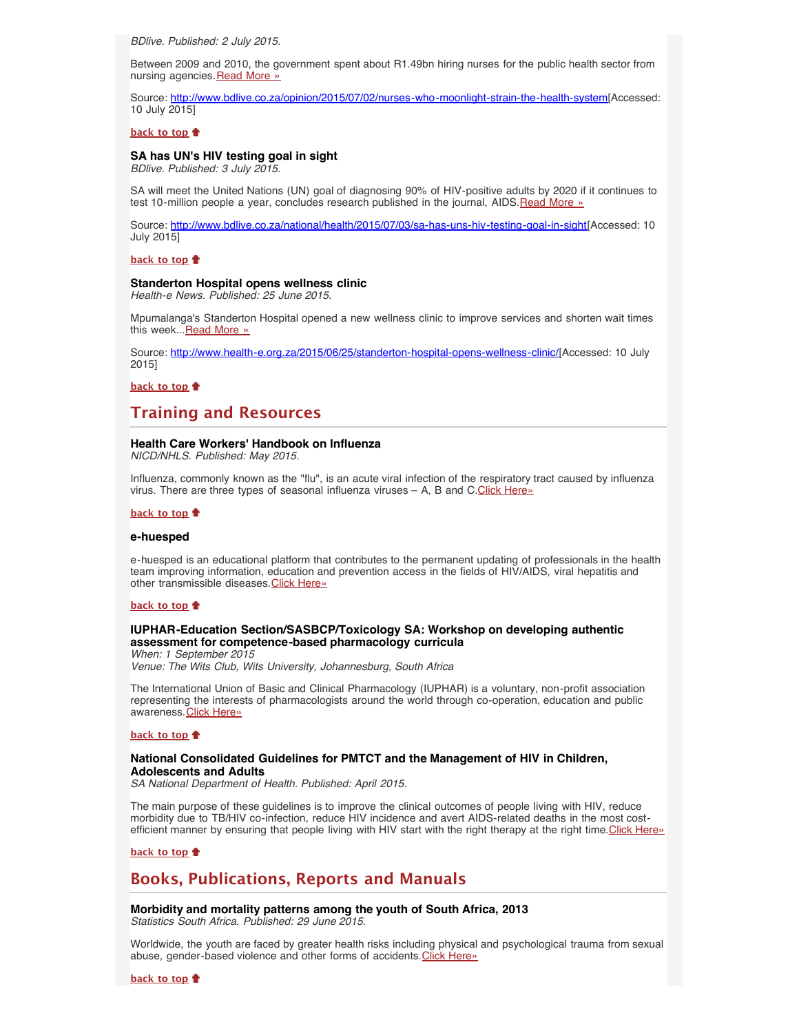<span id="page-3-0"></span>*BDlive. Published: 2 July 2015.*

Between 2009 and 2010, the government spent about R1.49bn hiring nurses for the public health sector from nursing agencies. [Read More »](http://www.bdlive.co.za/opinion/2015/07/02/nurses-who-moonlight-strain-the-health-system)

Source: <http://www.bdlive.co.za/opinion/2015/07/02/nurses-who-moonlight-strain-the-health-system>[Accessed: 10 July 2015]

## **[back to top](#page-0-2)**

# <span id="page-3-1"></span>**SA has UN's HIV testing goal in sight**

*BDlive. Published: 3 July 2015.*

SA will meet the United Nations (UN) goal of diagnosing 90% of HIV-positive adults by 2020 if it continues to test 10-million people a year, concludes research published in the journal, AIDS.[Read More »](http://www.hst.org.za/news/sa-has-un-s-hiv-testing-goal-sight)

Source: [http://www.bdlive.co.za/national/health/2015/07/03/sa-has-uns-hiv-testing-goal-in-sight\[](http://www.bdlive.co.za/national/health/2015/07/03/sa-has-uns-hiv-testing-goal-in-sight)Accessed: 10 July 2015]

## **[back to top](#page-0-2)**

## <span id="page-3-2"></span>**Standerton Hospital opens wellness clinic**

*Health-e News. Published: 25 June 2015.*

Mpumalanga's Standerton Hospital opened a new wellness clinic to improve services and shorten wait times this week... [Read More »](http://www.hst.org.za/news/standerton-hospital-opens-wellness-clinic)

Source: [http://www.health-e.org.za/2015/06/25/standerton-hospital-opens-wellness-clinic/\[](http://www.health-e.org.za/2015/06/25/standerton-hospital-opens-wellness-clinic/)Accessed: 10 July 2015]

**[back to top](#page-0-2)**

# <span id="page-3-3"></span>**Training and Resources**

# <span id="page-3-4"></span>**Health Care Workers' Handbook on Influenza**

*NICD/NHLS. Published: May 2015.*

Influenza, commonly known as the "flu", is an acute viral infection of the respiratory tract caused by influenza virus. There are three types of seasonal influenza viruses – A, B and C[.Click Here»](http://www.nicd.ac.za/assets/files/Healthcare%20Workers%20Handbook%20on%20influenza%20in%20SA_%205%20May%202015.pdf)

#### **[back to top](#page-0-2)**

## <span id="page-3-5"></span>**e-huesped**

e-huesped is an educational platform that contributes to the permanent updating of professionals in the health team improving information, education and prevention access in the fields of HIV/AIDS, viral hepatitis and other transmissible diseases. [Click Here»](http://www.e-huesped.org/about)

#### **[back to top](#page-0-2)**

# <span id="page-3-6"></span>**IUPHAR-Education Section/SASBCP/Toxicology SA: Workshop on developing authentic assessment for competence-based pharmacology curricula**

*When: 1 September 2015*

*Venue: The Wits Club, Wits University, Johannesburg, South Africa* 

The International Union of Basic and Clinical Pharmacology (IUPHAR) is a voluntary, non-profit association representing the interests of pharmacologists around the world through co-operation, education and public awareness. [Click Here»](http://www.hst.org.za/events/iuphar-education-sectionsasbcptoxicology-sa-workshop-developing-authentic-assessment-competen)

#### **[back to top](#page-0-2)**

# <span id="page-3-7"></span>**National Consolidated Guidelines for PMTCT and the Management of HIV in Children, Adolescents and Adults**

*SA National Department of Health. Published: April 2015.*

The main purpose of these guidelines is to improve the clinical outcomes of people living with HIV, reduce morbidity due to TB/HIV co-infection, reduce HIV incidence and avert AIDS-related deaths in the most cost-efficient manner by ensuring that people living with HIV start with the right therapy at the right time. [Click Here»](http://www.hst.org.za/publications/national-consolidated-guidelines-pmtct-and-management-hiv-children-adolescents-and-adul)

## **[back to top](#page-0-2)**

# <span id="page-3-8"></span>**Books, Publications, Reports and Manuals**

<span id="page-3-9"></span>**Morbidity and mortality patterns among the youth of South Africa, 2013**

*Statistics South Africa. Published: 29 June 2015.*

Worldwide, the youth are faced by greater health risks including physical and psychological trauma from sexual abuse, gender-based violence and other forms of accidents. [Click Here»](http://www.hst.org.za/publications/morbidity-and-mortality-patterns-among-youth-south-africa-2013)

**[back to top](#page-0-2)**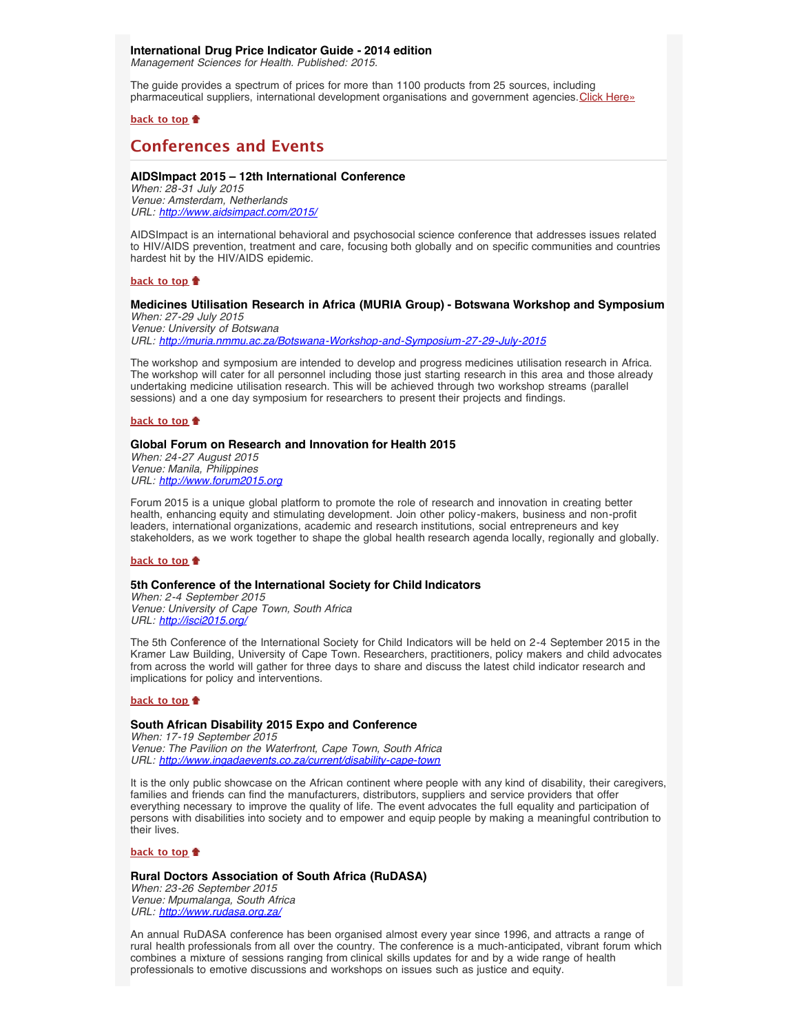# <span id="page-4-0"></span>**International Drug Price Indicator Guide - 2014 edition**

*Management Sciences for Health. Published: 2015.*

The guide provides a spectrum of prices for more than 1100 products from 25 sources, including pharmaceutical suppliers, international development organisations and government agencies. [Click Here»](http://erc.msh.org/priceguide)

# **[back to top](#page-0-2)**

# <span id="page-4-1"></span>**Conferences and Events**

# <span id="page-4-2"></span>**AIDSImpact 2015 – 12th International Conference**

*When: 28-31 July 2015 Venue: Amsterdam, Netherlands URL: <http://www.aidsimpact.com/2015/>*

AIDSImpact is an international behavioral and psychosocial science conference that addresses issues related to HIV/AIDS prevention, treatment and care, focusing both globally and on specific communities and countries hardest hit by the HIV/AIDS epidemic.

#### **[back to top](#page-0-2)**

#### <span id="page-4-3"></span>**Medicines Utilisation Research in Africa (MURIA Group) - Botswana Workshop and Symposium** *When: 27-29 July 2015*

*Venue: University of Botswana URL: <http://muria.nmmu.ac.za/Botswana-Workshop-and-Symposium-27-29-July-2015>*

The workshop and symposium are intended to develop and progress medicines utilisation research in Africa. The workshop will cater for all personnel including those just starting research in this area and those already undertaking medicine utilisation research. This will be achieved through two workshop streams (parallel sessions) and a one day symposium for researchers to present their projects and findings.

# **[back to top](#page-0-2)**

# <span id="page-4-4"></span>**Global Forum on Research and Innovation for Health 2015**

*When: 24-27 August 2015 Venue: Manila, Philippines URL: [http://www.forum2015.org](http://www.forum2015.org/)*

Forum 2015 is a unique global platform to promote the role of research and innovation in creating better health, enhancing equity and stimulating development. Join other policy-makers, business and non-profit leaders, international organizations, academic and research institutions, social entrepreneurs and key stakeholders, as we work together to shape the global health research agenda locally, regionally and globally.

# **[back to top](#page-0-2)**

#### <span id="page-4-5"></span>**5th Conference of the International Society for Child Indicators**

*When: 2-4 September 2015 Venue: University of Cape Town, South Africa URL: <http://isci2015.org/>*

The 5th Conference of the International Society for Child Indicators will be held on 2-4 September 2015 in the Kramer Law Building, University of Cape Town. Researchers, practitioners, policy makers and child advocates from across the world will gather for three days to share and discuss the latest child indicator research and implications for policy and interventions.

### **[back to top](#page-0-2)**

# <span id="page-4-6"></span>**South African Disability 2015 Expo and Conference**

*When: 17-19 September 2015 Venue: The Pavilion on the Waterfront, Cape Town, South Africa URL: <http://www.ingadaevents.co.za/current/disability-cape-town>*

It is the only public showcase on the African continent where people with any kind of disability, their caregivers, families and friends can find the manufacturers, distributors, suppliers and service providers that offer everything necessary to improve the quality of life. The event advocates the full equality and participation of persons with disabilities into society and to empower and equip people by making a meaningful contribution to their lives.

#### **[back to top](#page-0-2)**

## <span id="page-4-7"></span>**Rural Doctors Association of South Africa (RuDASA)**

*When: 23-26 September 2015 Venue: Mpumalanga, South Africa URL: <http://www.rudasa.org.za/>*

An annual RuDASA conference has been organised almost every year since 1996, and attracts a range of rural health professionals from all over the country. The conference is a much-anticipated, vibrant forum which combines a mixture of sessions ranging from clinical skills updates for and by a wide range of health professionals to emotive discussions and workshops on issues such as justice and equity.